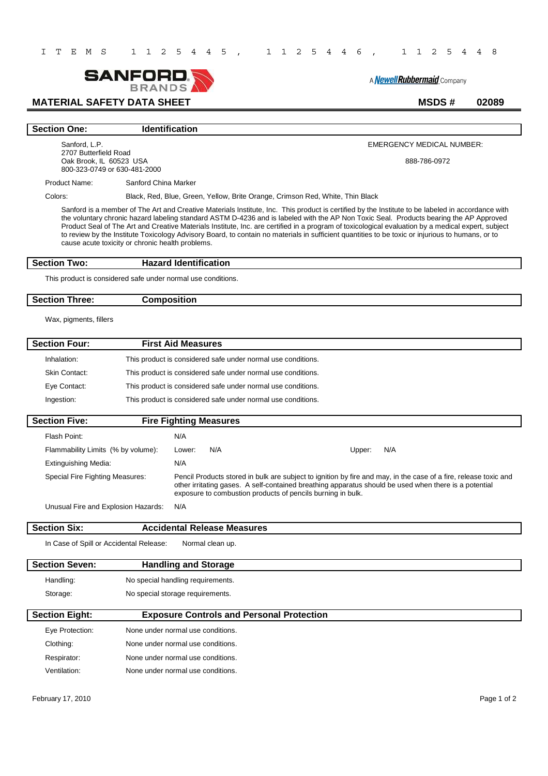

A **Newell Rubbermaid** Company

# **MATERIAL SAFETY DATA SHEET** MSDS # 02089

#### **Section One:** Identification

Sanford, L.P. 2707 Butterfield Road Oak Brook, IL 60523 USA 800-323-0749 or 630-481-2000

EMERGENCY MEDICAL NUMBER:

888-786-0972

Product Name: Sanford China Marker

Colors: Black, Red, Blue, Green, Yellow, Brite Orange, Crimson Red, White, Thin Black

Sanford is a member of The Art and Creative Materials Institute, Inc. This product is certified by the Institute to be labeled in accordance with the voluntary chronic hazard labeling standard ASTM D-4236 and is labeled with the AP Non Toxic Seal. Products bearing the AP Approved Product Seal of The Art and Creative Materials Institute, Inc. are certified in a program of toxicological evaluation by a medical expert, subject to review by the Institute Toxicology Advisory Board, to contain no materials in sufficient quantities to be toxic or injurious to humans, or to cause acute toxicity or chronic health problems.

#### **Section Two: Hazard Identification**

This product is considered safe under normal use conditions.

#### **Section Three: Composition**

Wax, pigments, fillers

| <b>Section Four:</b> | <b>First Aid Measures</b>                                    |
|----------------------|--------------------------------------------------------------|
| Inhalation:          | This product is considered safe under normal use conditions. |
| Skin Contact:        | This product is considered safe under normal use conditions. |
| Eye Contact:         | This product is considered safe under normal use conditions. |
| Ingestion:           | This product is considered safe under normal use conditions. |

| <b>Section Five:</b>                | <b>Fire Fighting Measures</b> |                                                                                                                                                                                                                                                                                          |
|-------------------------------------|-------------------------------|------------------------------------------------------------------------------------------------------------------------------------------------------------------------------------------------------------------------------------------------------------------------------------------|
| Flash Point:                        | N/A                           |                                                                                                                                                                                                                                                                                          |
| Flammability Limits (% by volume):  | N/A<br>Lower:                 | N/A<br>Upper:                                                                                                                                                                                                                                                                            |
| Extinguishing Media:                | N/A                           |                                                                                                                                                                                                                                                                                          |
| Special Fire Fighting Measures:     |                               | Pencil Products stored in bulk are subject to ignition by fire and may, in the case of a fire, release toxic and<br>other irritating gases. A self-contained breathing apparatus should be used when there is a potential<br>exposure to combustion products of pencils burning in bulk. |
| Unusual Fire and Explosion Hazards: | N/A                           |                                                                                                                                                                                                                                                                                          |

| <b>Section Six:</b>                     | <b>Accidental Release Measures</b>               |  |
|-----------------------------------------|--------------------------------------------------|--|
| In Case of Spill or Accidental Release: | Normal clean up.                                 |  |
| <b>Section Seven:</b>                   | <b>Handling and Storage</b>                      |  |
| Handling:                               | No special handling requirements.                |  |
| Storage:                                | No special storage requirements.                 |  |
| <b>Section Eight:</b>                   | <b>Exposure Controls and Personal Protection</b> |  |
| Eye Protection:                         | None under normal use conditions.                |  |
| Clothing:                               | None under normal use conditions.                |  |

Respirator: None under normal use conditions.

Ventilation: None under normal use conditions.